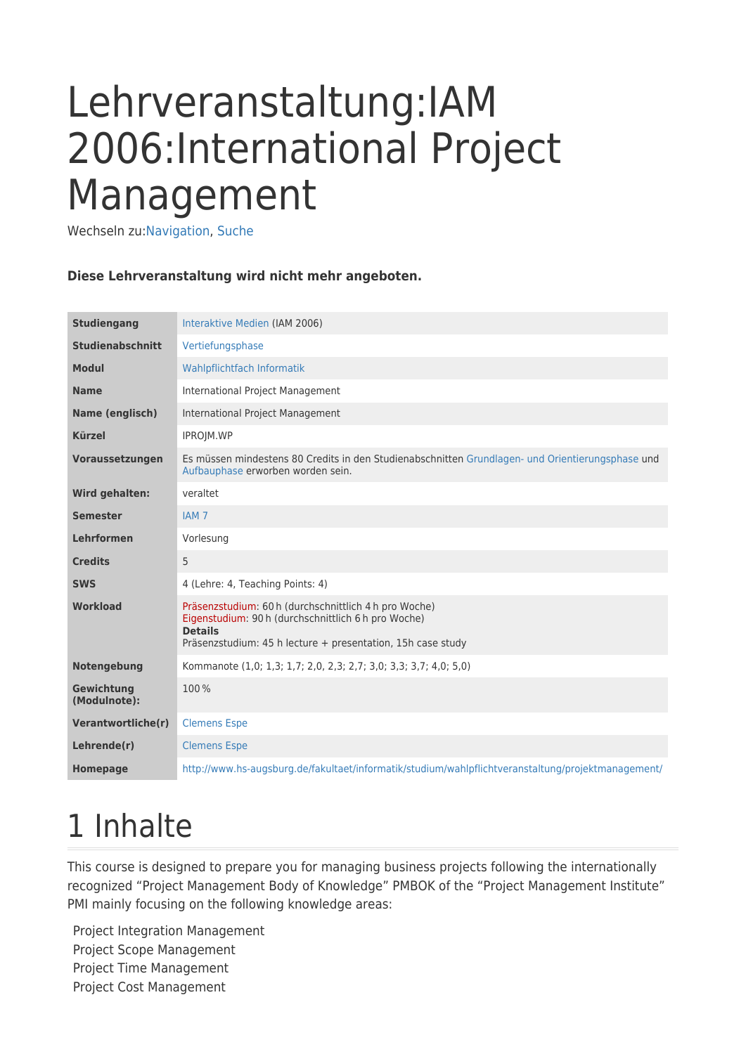# Lehrveranstaltung:IAM 2006:International Project Management

Wechseln zu:[Navigation,](#page--1-0) [Suche](#page--1-0)

#### **Diese Lehrveranstaltung wird nicht mehr angeboten.**

| <b>Studiengang</b>         | Interaktive Medien (IAM 2006)                                                                                                                                                                 |
|----------------------------|-----------------------------------------------------------------------------------------------------------------------------------------------------------------------------------------------|
| <b>Studienabschnitt</b>    | Vertiefungsphase                                                                                                                                                                              |
| <b>Modul</b>               | Wahlpflichtfach Informatik                                                                                                                                                                    |
| <b>Name</b>                | <b>International Project Management</b>                                                                                                                                                       |
| Name (englisch)            | International Project Management                                                                                                                                                              |
| <b>Kürzel</b>              | IPROJM.WP                                                                                                                                                                                     |
| Voraussetzungen            | Es müssen mindestens 80 Credits in den Studienabschnitten Grundlagen- und Orientierungsphase und<br>Aufbauphase erworben worden sein.                                                         |
| <b>Wird gehalten:</b>      | veraltet                                                                                                                                                                                      |
| <b>Semester</b>            | IAM <sub>7</sub>                                                                                                                                                                              |
| <b>Lehrformen</b>          | Vorlesung                                                                                                                                                                                     |
| <b>Credits</b>             | 5                                                                                                                                                                                             |
| <b>SWS</b>                 | 4 (Lehre: 4, Teaching Points: 4)                                                                                                                                                              |
| Workload                   | Präsenzstudium: 60 h (durchschnittlich 4 h pro Woche)<br>Eigenstudium: 90 h (durchschnittlich 6 h pro Woche)<br><b>Details</b><br>Präsenzstudium: 45 h lecture + presentation, 15h case study |
| Notengebung                | Kommanote (1,0; 1,3; 1,7; 2,0, 2,3; 2,7; 3,0; 3,3; 3,7; 4,0; 5,0)                                                                                                                             |
| Gewichtung<br>(Modulnote): | 100%                                                                                                                                                                                          |
| Verantwortliche(r)         | <b>Clemens Espe</b>                                                                                                                                                                           |
| Lehrende(r)                | <b>Clemens Espe</b>                                                                                                                                                                           |
| <b>Homepage</b>            | http://www.hs-augsburg.de/fakultaet/informatik/studium/wahlpflichtveranstaltung/projektmanagement/                                                                                            |

### 1 Inhalte

This course is designed to prepare you for managing business projects following the internationally recognized "Project Management Body of Knowledge" PMBOK of the "Project Management Institute" PMI mainly focusing on the following knowledge areas:

Project Integration Management Project Scope Management Project Time Management Project Cost Management